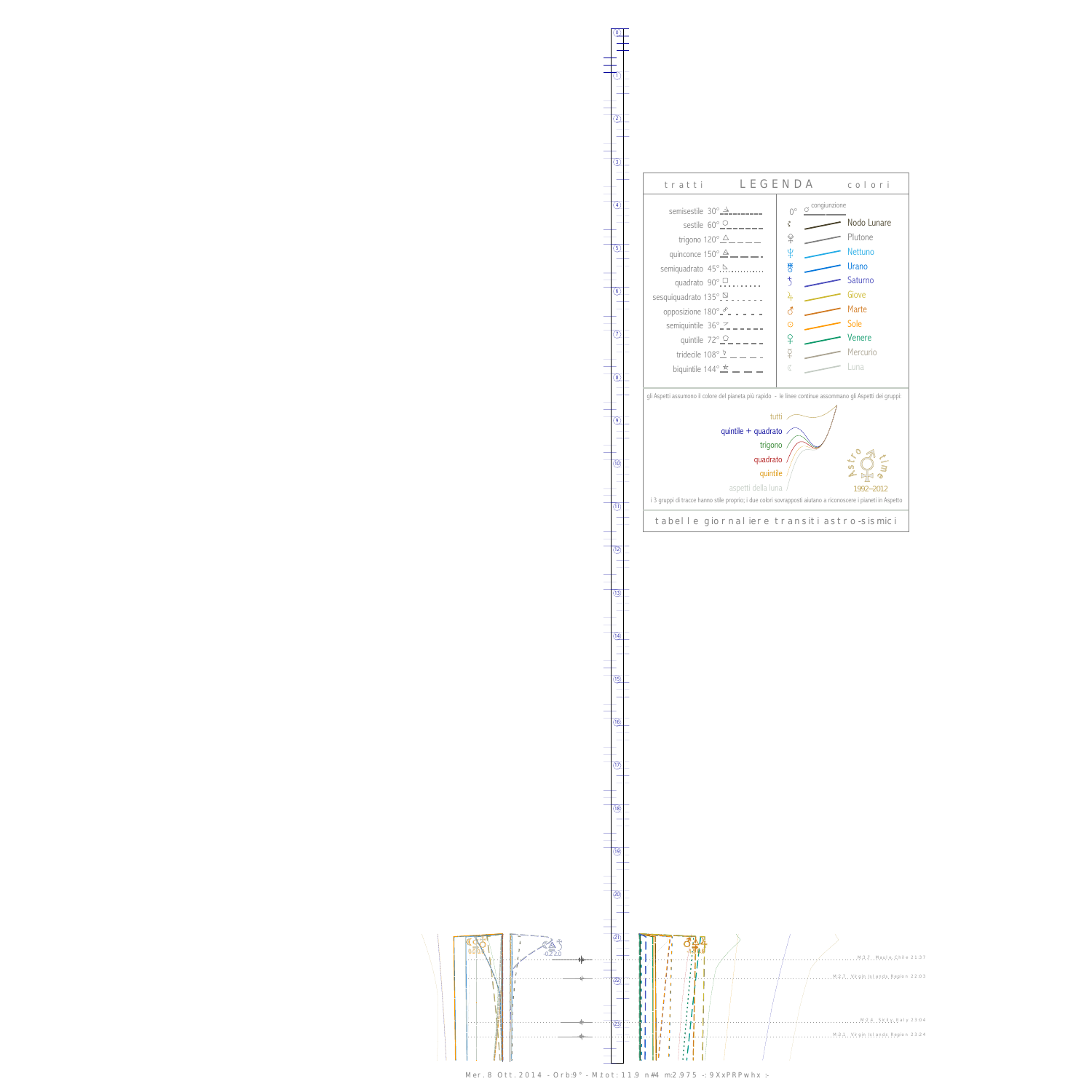$\overline{\phantom{a}}$